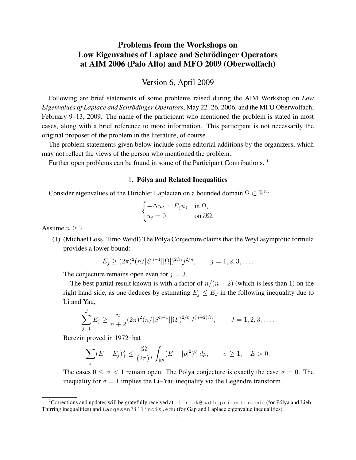# Problems from the Workshops on Low Eigenvalues of Laplace and Schrödinger Operators at AIM 2006 (Palo Alto) and MFO 2009 (Oberwolfach)

## Version 6, April 2009

Following are brief statements of some problems raised during the AIM Workshop on *Low Eigenvalues of Laplace and Schrödinger Operators*, May 22–26, 2006, and the MFO Oberwolfach, February 9–13, 2009. The name of the participant who mentioned the problem is stated in most cases, along with a brief reference to more information. This participant is not necessarily the original proposer of the problem in the literature, of course.

The problem statements given below include some editorial additions by the organizers, which may not reflect the views of the person who mentioned the problem.

Further open problems can be found in some of the Participant Contributions.<sup>1</sup>

#### 1. Pólya and Related Inequalities

Consider eigenvalues of the Dirichlet Laplacian on a bounded domain  $\Omega \subset \mathbb{R}^n$ :

$$
\begin{cases}\n-\Delta u_j = E_j u_j & \text{in } \Omega, \\
u_j = 0 & \text{on } \partial \Omega.\n\end{cases}
$$

Assume  $n > 2$ .

(1) (Michael Loss, Timo Weidl) The Polya Conjecture claims that the Weyl asymptotic formula ´ provides a lower bound:

$$
E_j \ge (2\pi)^2 (n/|S^{n-1}||\Omega|)^{2/n} j^{2/n}, \qquad j = 1, 2, 3, \dots.
$$

The conjecture remains open even for  $j = 3$ .

The best partial result known is with a factor of  $n/(n+2)$  (which is less than 1) on the right hand side, as one deduces by estimating  $E_j \le E_j$  in the following inequality due to Li and Yau,

$$
\sum_{j=1}^{J} E_j \ge \frac{n}{n+2} (2\pi)^2 (n/|S^{n-1}||\Omega|)^{2/n} J^{(n+2)/n}, \qquad J = 1, 2, 3, \dots.
$$

Berezin proved in 1972 that

$$
\sum_{j} (E - E_j)_+^{\sigma} \le \frac{|\Omega|}{(2\pi)^n} \int_{\mathbb{R}^n} (E - |p|^2)_+^{\sigma} dp, \qquad \sigma \ge 1, \quad E > 0.
$$

The cases  $0 \le \sigma < 1$  remain open. The Pólya conjecture is exactly the case  $\sigma = 0$ . The inequality for  $\sigma = 1$  implies the Li–Yau inequality via the Legendre transform.

<sup>&</sup>lt;sup>1</sup>Corrections and updates will be gratefully received at  $\text{r1frank@math}$ .princeton.edu (for Pólya and Lieb– Thirring inequalities) and Laugesen@illinois.edu (for Gap and Laplace eigenvalue inequalities).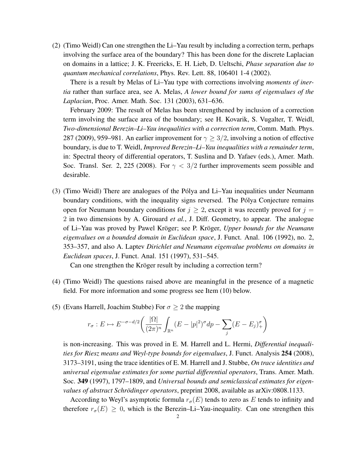(2) (Timo Weidl) Can one strengthen the Li–Yau result by including a correction term, perhaps involving the surface area of the boundary? This has been done for the discrete Laplacian on domains in a lattice; J. K. Freericks, E. H. Lieb, D. Ueltschi, *Phase separation due to quantum mechanical correlations*, Phys. Rev. Lett. 88, 106401 1-4 (2002).

There is a result by Melas of Li–Yau type with corrections involving *moments of inertia* rather than surface area, see A. Melas, *A lower bound for sums of eigenvalues of the Laplacian*, Proc. Amer. Math. Soc. 131 (2003), 631–636.

February 2009: The result of Melas has been strengthened by inclusion of a correction term involving the surface area of the boundary; see H. Kovarik, S. Vugalter, T. Weidl, *Two-dimensional Berezin–Li–Yau inequalities with a correction term*, Comm. Math. Phys. 287 (2009), 959–981. An earlier improvement for  $\gamma > 3/2$ , involving a notion of effective boundary, is due to T. Weidl, *Improved Berezin–Li–Yau inequalities with a remainder term*, in: Spectral theory of differential operators, T. Suslina and D. Yafaev (eds.), Amer. Math. Soc. Transl. Ser. 2, 225 (2008). For  $\gamma < 3/2$  further improvements seem possible and desirable.

(3) (Timo Weidl) There are analogues of the Polya and Li–Yau inequalities under Neumann ´ boundary conditions, with the inequality signs reversed. The Pólya Conjecture remains open for Neumann boundary conditions for  $j \ge 2$ , except it was recently proved for  $j =$ 2 in two dimensions by A. Girouard *et al.*, J. Diff. Geometry, to appear. The analogue of Li–Yau was proved by Pawel Kröger; see P. Kröger, *Upper bounds for the Neumann eigenvalues on a bounded domain in Euclidean space*, J. Funct. Anal. 106 (1992), no. 2, 353–357, and also A. Laptev *Dirichlet and Neumann eigenvalue problems on domains in Euclidean spaces*, J. Funct. Anal. 151 (1997), 531–545.

Can one strengthen the Kröger result by including a correction term?

- (4) (Timo Weidl) The questions raised above are meaningful in the presence of a magnetic field. For more information and some progress see Item (10) below.
- (5) (Evans Harrell, Joachim Stubbe) For  $\sigma \geq 2$  the mapping

$$
r_{\sigma}: E \mapsto E^{-\sigma - d/2} \left( \frac{|\Omega|}{(2\pi)^n} \int_{\mathbb{R}^n} (E - |p|^2)^{\sigma} dp - \sum_j (E - E_j)^{\sigma} \right)
$$

is non-increasing. This was proved in E. M. Harrell and L. Hermi, *Differential inequalities for Riesz means and Weyl-type bounds for eigenvalues*, J. Funct. Analysis 254 (2008), 3173–3191, using the trace identities of E. M. Harrell and J. Stubbe, *On trace identities and universal eigenvalue estimates for some partial differential operators*, Trans. Amer. Math. Soc. 349 (1997), 1797–1809, and *Universal bounds and semiclassical estimates for eigenvalues of abstract Schrödinger operators*, preprint 2008, available as arXiv:0808.1133.

According to Weyl's asymptotic formula  $r_{\sigma}(E)$  tends to zero as E tends to infinity and therefore  $r_{\sigma}(E) \geq 0$ , which is the Berezin–Li–Yau-inequality. Can one strengthen this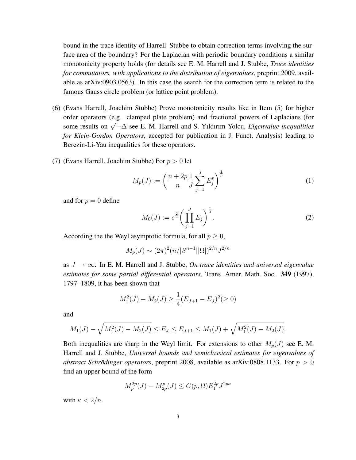bound in the trace identity of Harrell–Stubbe to obtain correction terms involving the surface area of the boundary? For the Laplacian with periodic boundary conditions a similar monotonicity property holds (for details see E. M. Harrell and J. Stubbe, *Trace identities for commutators, with applications to the distribution of eigenvalues*, preprint 2009, available as arXiv:0903.0563). In this case the search for the correction term is related to the famous Gauss circle problem (or lattice point problem).

- (6) (Evans Harrell, Joachim Stubbe) Prove monotonicity results like in Item (5) for higher order operators (e.g. clamped plate problem) and fractional powers of Laplacians (for some results on <sup>√</sup> −∆ see E. M. Harrell and S. Yıldırım Yolcu, *Eigenvalue inequalities for Klein-Gordon Operators*, accepted for publication in J. Funct. Analysis) leading to Berezin-Li-Yau inequalities for these operators.
- (7) (Evans Harrell, Joachim Stubbe) For  $p > 0$  let

$$
M_p(J) := \left(\frac{n+2p}{n}\frac{1}{J}\sum_{j=1}^J E_j^p\right)^{\frac{1}{p}}\tag{1}
$$

and for  $p = 0$  define

$$
M_0(J) := e^{\frac{2}{n}} \bigg( \prod_{j=1}^J E_j \bigg)^{\frac{1}{J}}.
$$
 (2)

According the the Weyl asymptotic formula, for all  $p \geq 0$ ,

$$
M_p(J) \sim (2\pi)^2 (n/|S^{n-1}||\Omega|)^{2/n} J^{2/n}
$$

as  $J \to \infty$ . In E. M. Harrell and J. Stubbe, *On trace identities and universal eigenvalue estimates for some partial differential operators*, Trans. Amer. Math. Soc. 349 (1997), 1797–1809, it has been shown that

$$
M_1^2(J) - M_2(J) \ge \frac{1}{4}(E_{J+1} - E_J)^2(\ge 0)
$$

and

$$
M_1(J) - \sqrt{M_1^2(J) - M_2(J)} \le E_J \le E_{J+1} \le M_1(J) + \sqrt{M_1^2(J) - M_2(J)}.
$$

Both inequalities are sharp in the Weyl limit. For extensions to other  $M_p(J)$  see E. M. Harrell and J. Stubbe, *Universal bounds and semiclassical estimates for eigenvalues of abstract Schrödinger operators, preprint 2008, available as arXiv:0808.1133. For*  $p > 0$ find an upper bound of the form

$$
M_p^{2p}(J) - M_{2p}^p(J) \le C(p, \Omega) E_1^{2p} J^{2p\kappa}
$$

with  $\kappa < 2/n$ .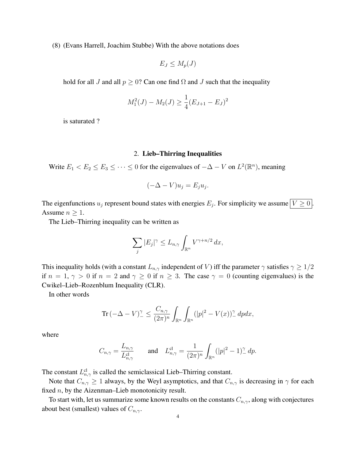(8) (Evans Harrell, Joachim Stubbe) With the above notations does

$$
E_J \le M_p(J)
$$

hold for all J and all  $p \geq 0$ ? Can one find  $\Omega$  and J such that the inequality

$$
M_1^2(J) - M_2(J) \ge \frac{1}{4}(E_{J+1} - E_J)^2
$$

is saturated ?

### 2. Lieb–Thirring Inequalities

Write  $E_1 < E_2 \le E_3 \le \cdots \le 0$  for the eigenvalues of  $-\Delta - V$  on  $L^2(\mathbb{R}^n)$ , meaning

$$
(-\Delta - V)u_j = E_j u_j.
$$

The eigenfunctions  $u_j$  represent bound states with energies  $E_j$ . For simplicity we assume  $|V \ge 0|$ . Assume  $n > 1$ .

The Lieb–Thirring inequality can be written as

$$
\sum_{j} |E_j|^\gamma \le L_{n,\gamma} \int_{\mathbb{R}^n} V^{\gamma+n/2} \, dx,
$$

This inequality holds (with a constant  $L_{n,\gamma}$  independent of V) iff the parameter  $\gamma$  satisfies  $\gamma \geq 1/2$ if  $n = 1, \gamma > 0$  if  $n = 2$  and  $\gamma \ge 0$  if  $n \ge 3$ . The case  $\gamma = 0$  (counting eigenvalues) is the Cwikel–Lieb–Rozenblum Inequality (CLR).

In other words

$$
\operatorname{Tr}\left(-\Delta-V\right)^{\gamma}\leq\frac{C_{n,\gamma}}{(2\pi)^n}\int_{\mathbb{R}^n}\int_{\mathbb{R}^n}(|p|^2-V(x))_{-}^{\gamma}dpdx,
$$

where

$$
C_{n,\gamma} = \frac{L_{n,\gamma}}{L_{n,\gamma}^{\text{cl}}} \quad \text{and} \quad L_{n,\gamma}^{\text{cl}} = \frac{1}{(2\pi)^n} \int_{\mathbb{R}^n} (|p|^2 - 1)^{\gamma} dp.
$$

The constant  $L_{n,\gamma}^{cl}$  is called the semiclassical Lieb–Thirring constant.

Note that  $C_{n,\gamma} \ge 1$  always, by the Weyl asymptotics, and that  $C_{n,\gamma}$  is decreasing in  $\gamma$  for each fixed  $n$ , by the Aizenman–Lieb monotonicity result.

To start with, let us summarize some known results on the constants  $C_{n,\gamma}$ , along with conjectures about best (smallest) values of  $C_{n,\gamma}$ .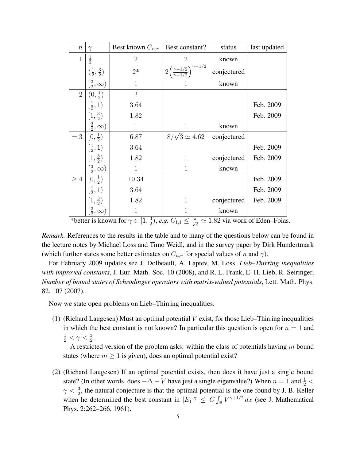| $\boldsymbol{n}$ | $\gamma$                          | Best known $C_{n,\gamma}$ | Best constant?                                             | status      | last updated |
|------------------|-----------------------------------|---------------------------|------------------------------------------------------------|-------------|--------------|
| $\mathbf{1}$     | $\frac{1}{2}$                     | $\overline{2}$            | 2                                                          | known       |              |
|                  | $(\frac{1}{2}, \frac{3}{2})$      | $2*$                      | $2\left(\frac{\gamma-1/2}{\gamma+1/2}\right)^{\gamma-1/2}$ | conjectured |              |
|                  | $\left[\frac{3}{2},\infty\right)$ | 1                         |                                                            | known       |              |
| $\overline{2}$   | $(0, \frac{1}{2})$                | $\overline{?}$            |                                                            |             |              |
|                  | $\left[\frac{1}{2},1\right)$      | 3.64                      |                                                            |             | Feb. 2009    |
|                  | $[1, \frac{3}{2})$                | 1.82                      |                                                            |             | Feb. 2009    |
|                  | $\left[\frac{3}{2},\infty\right)$ | 1                         | 1                                                          | known       |              |
| $=$ 3            | $[0, \frac{1}{2})$                | 6.87                      | $8/\sqrt{3} \simeq 4.62$                                   | conjectured |              |
|                  | $\left[\frac{1}{2},1\right)$      | 3.64                      |                                                            |             | Feb. 2009    |
|                  | $[1, \frac{3}{2})$                | 1.82                      | 1                                                          | conjectured | Feb. 2009    |
|                  | $\left[\frac{3}{2},\infty\right)$ | 1                         | 1                                                          | known       |              |
| $\geq 4$         | $[0, \frac{1}{2})$                | 10.34                     |                                                            |             | Feb. 2009    |
|                  | $\left[\frac{1}{2},1\right)$      | 3.64                      |                                                            |             | Feb. 2009    |
|                  | $[1, \frac{3}{2})$                | 1.82                      | 1                                                          | conjectured | Feb. 2009    |
|                  | $\left[\frac{3}{2},\infty\right)$ | $\mathbf{1}$              | 1                                                          | known       |              |

\*better is known for  $\gamma \in [1, \frac{3}{2}]$  $\frac{3}{2}$ ), *e.g.*  $C_{1,1} \leq \frac{\pi}{\sqrt{3}} \simeq 1.82$  via work of Eden–Foias.

*Remark.* References to the results in the table and to many of the questions below can be found in the lecture notes by Michael Loss and Timo Weidl, and in the survey paper by Dirk Hundertmark (which further states some better estimates on  $C_{n,\gamma}$  for special values of n and  $\gamma$ ).

For February 2009 updates see J. Dolbeault, A. Laptev, M. Loss, *Lieb–Thirring inequalities with improved constants*, J. Eur. Math. Soc. 10 (2008), and R. L. Frank, E. H. Lieb, R. Seiringer, *Number of bound states of Schrödinger operators with matrix-valued potentials, Lett. Math. Phys.* 82, 107 (2007).

Now we state open problems on Lieb–Thirring inequalities.

(1) (Richard Laugesen) Must an optimal potential  $V$  exist, for those Lieb–Thirring inequalities in which the best constant is not known? In particular this question is open for  $n = 1$  and  $\frac{1}{2} < \gamma < \frac{3}{2}.$ 

A restricted version of the problem asks: within the class of potentials having  $m$  bound states (where  $m \geq 1$  is given), does an optimal potential exist?

(2) (Richard Laugesen) If an optimal potential exists, then does it have just a single bound state? (In other words, does  $-\Delta - V$  have just a single eigenvalue?) When  $n = 1$  and  $\frac{1}{2}$  <  $\gamma < \frac{3}{2}$ , the natural conjecture is that the optimal potential is the one found by J. B. Keller when he determined the best constant in  $|E_1|^{\gamma} \leq C \int_{\mathbb{R}} V^{\gamma+1/2} dx$  (see J. Mathematical Phys. 2:262–266, 1961).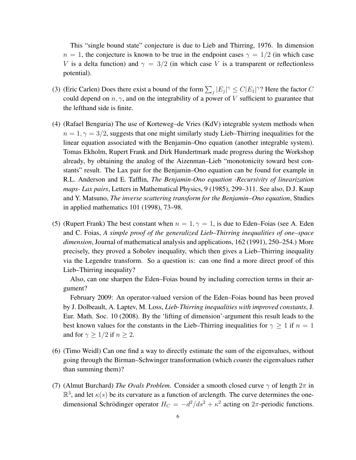This "single bound state" conjecture is due to Lieb and Thirring, 1976. In dimension  $n = 1$ , the conjecture is known to be true in the endpoint cases  $\gamma = 1/2$  (in which case V is a delta function) and  $\gamma = 3/2$  (in which case V is a transparent or reflectionless potential).

- (3) (Eric Carlen) Does there exist a bound of the form  $\sum_j |E_j|^\gamma \le C |E_1|^\gamma$ ? Here the factor C could depend on  $n, \gamma$ , and on the integrability of a power of V sufficient to guarantee that the lefthand side is finite.
- (4) (Rafael Benguria) The use of Korteweg–de Vries (KdV) integrable system methods when  $n = 1, \gamma = 3/2$ , suggests that one might similarly study Lieb–Thirring inequalities for the linear equation associated with the Benjamin–Ono equation (another integrable system). Tomas Ekholm, Rupert Frank and Dirk Hundertmark made progress during the Workshop already, by obtaining the analog of the Aizenman–Lieb "monotonicity toward best constants" result. The Lax pair for the Benjamin–Ono equation can be found for example in R.L. Anderson and E. Tafflin, *The Benjamin-Ono equation -Recursivity of linearization maps- Lax pairs*, Letters in Mathematical Physics, 9 (1985), 299–311. See also, D.J. Kaup and Y. Matsuno, *The inverse scattering transform for the Benjamin–Ono equation*, Studies in applied mathematics 101 (1998), 73–98.
- (5) (Rupert Frank) The best constant when  $n = 1, \gamma = 1$ , is due to Eden–Foias (see A. Eden and C. Foias, *A simple proof of the generalized Lieb–Thirring inequalities of one–space dimension*, Journal of mathematical analysis and applications, 162 (1991), 250–254.) More precisely, they proved a Sobolev inequality, which then gives a Lieb–Thirring inequality via the Legendre transform. So a question is: can one find a more direct proof of this Lieb–Thirring inequality?

Also, can one sharpen the Eden–Foias bound by including correction terms in their argument?

February 2009: An operator-valued version of the Eden–Foias bound has been proved by J. Dolbeault, A. Laptev, M. Loss, *Lieb-Thirring inequalities with improved constants*, J. Eur. Math. Soc. 10 (2008). By the 'lifting of dimension'-argument this result leads to the best known values for the constants in the Lieb–Thirring inequalities for  $\gamma \geq 1$  if  $n = 1$ and for  $\gamma \geq 1/2$  if  $n \geq 2$ .

- (6) (Timo Weidl) Can one find a way to directly estimate the sum of the eigenvalues, without going through the Birman–Schwinger transformation (which *counts* the eigenvalues rather than summing them)?
- (7) (Almut Burchard) *The Ovals Problem.* Consider a smooth closed curve  $\gamma$  of length  $2\pi$  in  $\mathbb{R}^3$ , and let  $\kappa(s)$  be its curvature as a function of arclength. The curve determines the onedimensional Schrödinger operator  $H_C = -d^2/ds^2 + \kappa^2$  acting on  $2\pi$ -periodic functions.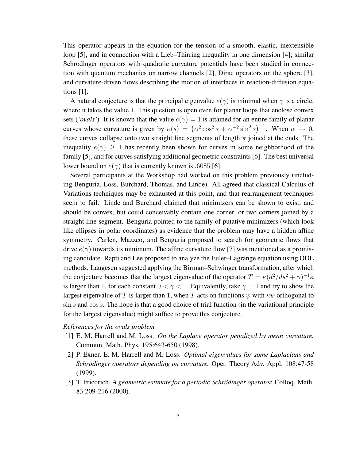This operator appears in the equation for the tension of a smooth, elastic, inextensible loop [5], and in connection with a Lieb–Thirring inequality in one dimension [4]; similar Schrödinger operators with quadratic curvature potentials have been studied in connection with quantum mechanics on narrow channels [2], Dirac operators on the sphere [3], and curvature-driven flows describing the motion of interfaces in reaction-diffusion equations [1].

A natural conjecture is that the principal eigenvalue  $e(\gamma)$  is minimal when  $\gamma$  is a circle, where it takes the value 1. This question is open even for planar loops that enclose convex sets (*'ovals'*). It is known that the value  $e(\gamma) = 1$  is attained for an entire family of planar curves whose curvature is given by  $\kappa(s) = (\alpha^2 \cos^2 s + \alpha^{-2} \sin^2 s)^{-1}$ . When  $\alpha \to 0$ , these curves collapse onto two straight line segments of length  $\pi$  joined at the ends. The inequality  $e(\gamma) \geq 1$  has recently been shown for curves in some neighborhood of the family [5], and for curves satisfying additional geometric constraints [6]. The best universal lower bound on  $e(\gamma)$  that is currently known is .6085 [6].

Several participants at the Workshop had worked on this problem previously (including Benguria, Loss, Burchard, Thomas, and Linde). All agreed that classical Calculus of Variations techniques may be exhausted at this point, and that rearrangement techniques seem to fail. Linde and Burchard claimed that minimizers can be shown to exist, and should be convex, but could conceivably contain one corner, or two corners joined by a straight line segment. Benguria pointed to the family of putative minimizers (which look like ellipses in polar coordinates) as evidence that the problem may have a hidden affine symmetry. Carlen, Mazzeo, and Benguria proposed to search for geometric flows that drive  $e(\gamma)$  towards its minimum. The affine curvature flow [7] was mentioned as a promising candidate. Rapti and Lee proposed to analyze the Euler–Lagrange equation using ODE methods. Laugesen suggested applying the Birman–Schwinger transformation, after which the conjecture becomes that the largest eigenvalue of the operator  $T = \kappa (d^2/ds^2 + \gamma)^{-1} \kappa$ is larger than 1, for each constant  $0 < \gamma < 1$ . Equivalently, take  $\gamma = 1$  and try to show the largest eigenvalue of T is larger than 1, when T acts on functions  $\psi$  with  $\kappa \psi$  orthogonal to  $\sin s$  and  $\cos s$ . The hope is that a good choice of trial function (in the variational principle for the largest eigenvalue) might suffice to prove this conjecture.

*References for the ovals problem*

- [1] E. M. Harrell and M. Loss. *On the Laplace operator penalized by mean curvature.* Commun. Math. Phys. 195:643-650 (1998).
- [2] P. Exner, E. M. Harrell and M. Loss. *Optimal eigenvalues for some Laplacians and Schrödinger operators depending on curvature. Oper. Theory Adv. Appl. 108:47-58* (1999).
- [3] T. Friedrich. *A geometric estimate for a periodic Schrödinger operator.* Colloq. Math. 83:209-216 (2000).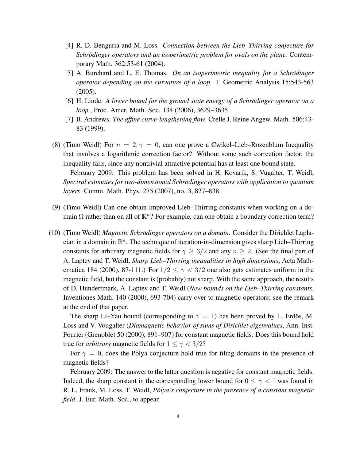- [4] R. D. Benguria and M. Loss. *Connection between the Lieb–Thirring conjecture for Schrödinger operators and an isoperimetric problem for ovals on the plane.* Contemporary Math. 362:53-61 (2004).
- [5] A. Burchard and L. E. Thomas. *On an isoperimetric inequality for a Schrödinger operator depending on the curvature of a loop.* J. Geometric Analysis 15:543-563 (2005).
- [6] H. Linde. *A lower bound for the ground state energy of a Schrödinger operator on a loop.*, Proc. Amer. Math. Soc. 134 (2006), 3629–3635.
- [7] B. Andrews. *The affine curve-lengthening flow.* Crelle J. Reine Angew. Math. 506:43- 83 (1999).
- (8) (Timo Weidl) For  $n = 2, \gamma = 0$ , can one prove a Cwikel–Lieb–Rozenblum Inequality that involves a logarithmic correction factor? Without some such correction factor, the inequality fails, since any nontrivial attractive potential has at least one bound state.

February 2009: This problem has been solved in H. Kovarik, S. Vugalter, T. Weidl, *Spectral estimates for two-dimensional Schrödinger operators with application to quantum layers*. Comm. Math. Phys. 275 (2007), no. 3, 827–838.

- (9) (Timo Weidl) Can one obtain improved Lieb–Thirring constants when working on a domain  $\Omega$  rather than on all of  $\mathbb{R}^n$ ? For example, can one obtain a boundary correction term?
- (10) (Timo Weidl) *Magnetic Schrodinger operators on a domain. ¨* Consider the Dirichlet Laplacian in a domain in  $\mathbb{R}^n$ . The technique of iteration-in-dimension gives sharp Lieb–Thirring constants for arbitrary magnetic fields for  $\gamma \geq 3/2$  and any  $n \geq 2$ . (See the final part of A. Laptev and T. Weidl, *Sharp Lieb–Thirring inequalities in high dimensions*, Acta Mathematica 184 (2000), 87-111.) For  $1/2 \leq \gamma < 3/2$  one also gets estimates uniform in the magnetic field, but the constant is (probably) not sharp. With the same approach, the results of D. Hundertmark, A. Laptev and T. Weidl (*New bounds on the Lieb–Thirring constants*, Inventiones Math. 140 (2000), 693-704) carry over to magnetic operators; see the remark at the end of that paper.

The sharp Li–Yau bound (corresponding to  $\gamma = 1$ ) has been proved by L. Erdös, M. Loss and V. Vougalter (*Diamagnetic behavior of sums of Dirichlet eigenvalues*, Ann. Inst. Fourier (Grenoble) 50 (2000), 891–907) for constant magnetic fields. Does this bound hold true for *arbitrary* magnetic fields for  $1 \leq \gamma < 3/2$ ?

For  $\gamma = 0$ , does the Pólya conjecture hold true for tiling domains in the presence of magnetic fields?

February 2009: The answer to the latter question is negative for constant magnetic fields. Indeed, the sharp constant in the corresponding lower bound for  $0 \leq \gamma < 1$  was found in R. L. Frank, M. Loss, T. Weidl, *Polya's conjecture in the presence of a constant magnetic ´ field*. J. Eur. Math. Soc., to appear.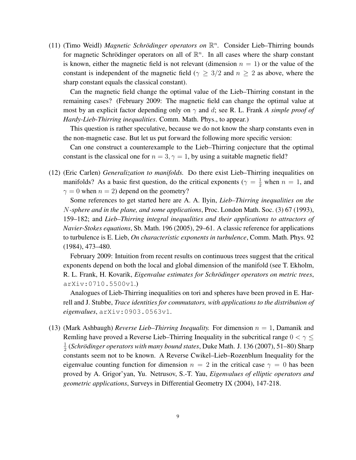(11) (Timo Weidl) *Magnetic Schrödinger operators on*  $\mathbb{R}^n$ . Consider Lieb-Thirring bounds for magnetic Schrödinger operators on all of  $\mathbb{R}^n$ . In all cases where the sharp constant is known, either the magnetic field is not relevant (dimension  $n = 1$ ) or the value of the constant is independent of the magnetic field ( $\gamma \geq 3/2$  and  $n \geq 2$  as above, where the sharp constant equals the classical constant).

Can the magnetic field change the optimal value of the Lieb–Thirring constant in the remaining cases? (February 2009: The magnetic field can change the optimal value at most by an explicit factor depending only on  $\gamma$  and d; see R. L. Frank *A simple proof of Hardy-Lieb-Thirring inequalities*. Comm. Math. Phys., to appear.)

This question is rather speculative, because we do not know the sharp constants even in the non-magnetic case. But let us put forward the following more specific version:

Can one construct a counterexample to the Lieb–Thirring conjecture that the optimal constant is the classical one for  $n = 3, \gamma = 1$ , by using a suitable magnetic field?

(12) (Eric Carlen) *Generalization to manifolds.* Do there exist Lieb–Thirring inequalities on manifolds? As a basic first question, do the critical exponents ( $\gamma = \frac{1}{2}$  when  $n = 1$ , and  $\gamma = 0$  when  $n = 2$ ) depend on the geometry?

Some references to get started here are A. A. Ilyin, *Lieb–Thirring inequalities on the* N*-sphere and in the plane, and some applications*, Proc. London Math. Soc. (3) 67 (1993), 159–182; and *Lieb–Thirring integral inequalities and their applications to attractors of Navier-Stokes equations*, Sb. Math. 196 (2005), 29–61. A classic reference for applications to turbulence is E. Lieb, *On characteristic exponents in turbulence*, Comm. Math. Phys. 92 (1984), 473–480.

February 2009: Intuition from recent results on continuous trees suggest that the critical exponents depend on both the local and global dimension of the manifold (see T. Ekholm, R. L. Frank, H. Kovarik, *Eigenvalue estimates for Schrödinger operators on metric trees*, arXiv:0710.5500v1.)

Analogues of Lieb-Thirring inequalities on tori and spheres have been proved in E. Harrell and J. Stubbe, *Trace identities for commutators, with applications to the distribution of eigenvalues*, arXiv:0903.0563v1.

(13) (Mark Ashbaugh) *Reverse Lieb–Thirring Inequality*. For dimension  $n = 1$ , Damanik and Remling have proved a Reverse Lieb–Thirring Inequality in the subcritical range  $0 < \gamma \leq$ 1  $\frac{1}{2}$  (*Schrödinger operators with many bound states*, Duke Math. J. 136 (2007), 51–80) Sharp constants seem not to be known. A Reverse Cwikel–Lieb–Rozenblum Inequality for the eigenvalue counting function for dimension  $n = 2$  in the critical case  $\gamma = 0$  has been proved by A. Grigor'yan, Yu. Netrusov, S.-T. Yau, *Eigenvalues of elliptic operators and geometric applications*, Surveys in Differential Geometry IX (2004), 147-218.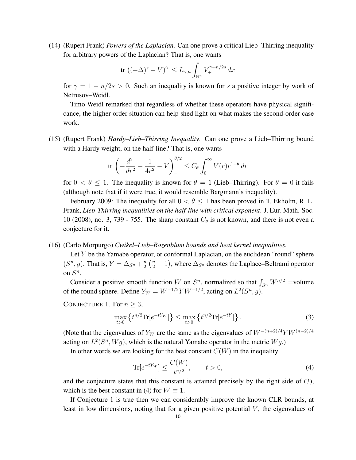(14) (Rupert Frank) *Powers of the Laplacian.* Can one prove a critical Lieb–Thirring inequality for arbitrary powers of the Laplacian? That is, one wants

$$
\text{tr } ((-\Delta)^s - V)_-^{\gamma} \le L_{\gamma,n} \int_{\mathbb{R}^n} V_+^{\gamma + n/2s} dx
$$

for  $\gamma = 1 - n/2s > 0$ . Such an inequality is known for s a positive integer by work of Netrusov–Weidl.

Timo Weidl remarked that regardless of whether these operators have physical significance, the higher order situation can help shed light on what makes the second-order case work.

(15) (Rupert Frank) *Hardy–Lieb–Thirring Inequality.* Can one prove a Lieb–Thirring bound with a Hardy weight, on the half-line? That is, one wants

$$
\text{tr}\,\left(-\frac{d^2}{dr^2} - \frac{1}{4r^2} - V\right)^{\theta/2} \le C_\theta \int_0^\infty V(r)r^{1-\theta}\,dr
$$

for  $0 < \theta < 1$ . The inequality is known for  $\theta = 1$  (Lieb–Thirring). For  $\theta = 0$  it fails (although note that if it were true, it would resemble Bargmann's inequality).

February 2009: The inequality for all  $0 < \theta \le 1$  has been proved in T. Ekholm, R. L. Frank, *Lieb-Thirring inequalities on the half-line with critical exponent*. J. Eur. Math. Soc. 10 (2008), no. 3, 739 - 755. The sharp constant  $C_{\theta}$  is not known, and there is not even a conjecture for it.

(16) (Carlo Morpurgo) *Cwikel–Lieb–Rozenblum bounds and heat kernel inequalities.*

Let  $Y$  be the Yamabe operator, or conformal Laplacian, on the euclidean "round" sphere  $(S^n, g)$ . That is,  $Y = \Delta_{S^n} + \frac{n}{2}$  $\frac{n}{2}$   $(\frac{n}{2}-1)$ , where  $\Delta_{S^n}$  denotes the Laplace–Beltrami operator on  $S^n$ .

Consider a positive smooth function W on  $S<sup>n</sup>$ , normalized so that  $\int_{S^n} W^{n/2}$  =volume of the round sphere. Define  $Y_W = W^{-1/2} Y W^{-1/2}$ , acting on  $L^2(S^n, g)$ .

CONJECTURE 1. For  $n > 3$ ,

$$
\max_{t>0} \left\{ t^{n/2} \text{Tr} [e^{-tY_W}] \right\} \le \max_{t>0} \left\{ t^{n/2} \text{Tr} [e^{-tY}] \right\}.
$$
 (3)

(Note that the eigenvalues of  $Y_W$  are the same as the eigenvalues of  $W^{-(n+2)/4}YW^{(n-2)/4}$ acting on  $L^2(S^n, Wg)$ , which is the natural Yamabe operator in the metric  $Wg$ .)

In other words we are looking for the best constant  $C(W)$  in the inequality

$$
\operatorname{Tr}[e^{-tY_W}] \le \frac{C(W)}{t^{n/2}}, \qquad t > 0,\tag{4}
$$

and the conjecture states that this constant is attained precisely by the right side of (3), which is the best constant in (4) for  $W \equiv 1$ .

If Conjecture 1 is true then we can considerably improve the known CLR bounds, at least in low dimensions, noting that for a given positive potential  $V$ , the eigenvalues of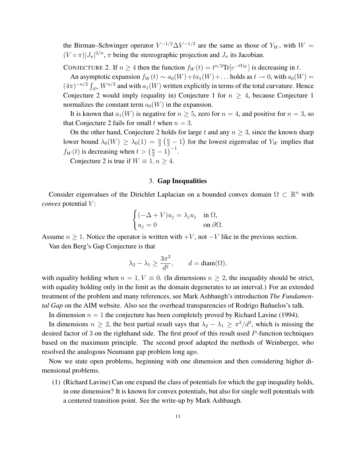the Birman–Schwinger operator  $V^{-1/2} \Delta V^{-1/2}$  are the same as those of  $Y_W$ , with  $W =$  $(V \circ \pi) |J_{\pi}|^{2/n}$ ,  $\pi$  being the stereographic projection and  $J_{\pi}$  its Jacobian.

CONJECTURE 2. If  $n \geq 4$  then the function  $f_W(t) = t^{n/2} \text{Tr}[e^{-tY_W}]$  is decreasing in t.

An asymptotic expansion  $f_W(t) \sim a_0(W) + ta_1(W) + \dots$  holds as  $t \to 0$ , with  $a_0(W) =$  $(4\pi)^{-n/2} \int_{S^n} W^{n/2}$  and with  $a_1(W)$  written explicitly in terms of the total curvature. Hence Conjecture 2 would imply (equality in) Conjecture 1 for  $n \geq 4$ , because Conjecture 1 normalizes the constant term  $a_0(W)$  in the expansion.

It is known that  $a_1(W)$  is negative for  $n \geq 5$ , zero for  $n = 4$ , and positive for  $n = 3$ , so that Conjecture 2 fails for small t when  $n = 3$ .

On the other hand, Conjecture 2 holds for large t and any  $n \geq 3$ , since the known sharp lower bound  $\lambda_0(W) \ge \lambda_0(1) = \frac{n}{2}(\frac{n}{2}-1)$  for the lowest eigenvalue of  $Y_W$  implies that  $f_W(t)$  is decreasing when  $t > (\frac{n}{2} - 1)^{-1}$ .

Conjecture 2 is true if  $W \equiv 1, n \ge 4$ .

#### 3. Gap Inequalities

Consider eigenvalues of the Dirichlet Laplacian on a bounded convex domain  $\Omega \subset \mathbb{R}^n$  with *convex* potential  $V$ :

$$
\begin{cases}\n(-\Delta + V)u_j = \lambda_j u_j & \text{in } \Omega, \\
u_j = 0 & \text{on } \partial\Omega.\n\end{cases}
$$

Assume  $n \geq 1$ . Notice the operator is written with  $+V$ , not  $-V$  like in the previous section.

Van den Berg's Gap Conjecture is that

$$
\lambda_2 - \lambda_1 \ge \frac{3\pi^2}{d^2}
$$
,  $d = \text{diam}(\Omega)$ ,

with equality holding when  $n = 1, V \equiv 0$ . (In dimensions  $n \geq 2$ , the inequality should be strict, with equality holding only in the limit as the domain degenerates to an interval.) For an extended treatment of the problem and many references, see Mark Ashbaugh's introduction *The Fundamental Gap* on the AIM website. Also see the overhead transparencies of Rodrigo Banuelos's talk.

In dimension  $n = 1$  the conjecture has been completely proved by Richard Lavine (1994).

In dimensions  $n \geq 2$ , the best partial result says that  $\lambda_2 - \lambda_1 \geq \pi^2/d^2$ , which is missing the desired factor of 3 on the righthand side. The first proof of this result used P-function techniques based on the maximum principle. The second proof adapted the methods of Weinberger, who resolved the analogous Neumann gap problem long ago.

Now we state open problems, beginning with one dimension and then considering higher dimensional problems.

(1) (Richard Lavine) Can one expand the class of potentials for which the gap inequality holds, in one dimension? It is known for convex potentials, but also for single well potentials with a centered transition point. See the write-up by Mark Ashbaugh.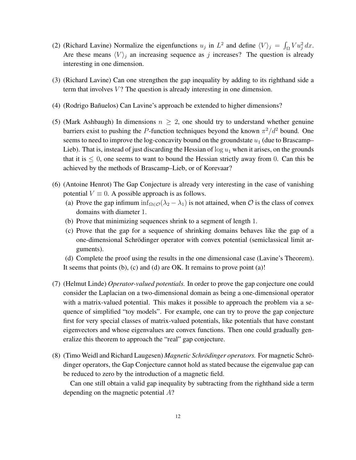- (2) (Richard Lavine) Normalize the eigenfunctions  $u_j$  in  $L^2$  and define  $\langle V \rangle_j = \int_{\Omega} V u_j^2 dx$ . Are these means  $\langle V \rangle_j$  an increasing sequence as j increases? The question is already interesting in one dimension.
- (3) (Richard Lavine) Can one strengthen the gap inequality by adding to its righthand side a term that involves  $V$ ? The question is already interesting in one dimension.
- (4) (Rodrigo Banuelos) Can Lavine's approach be extended to higher dimensions? ˜
- (5) (Mark Ashbaugh) In dimensions  $n \geq 2$ , one should try to understand whether genuine barriers exist to pushing the P-function techniques beyond the known  $\pi^2/d^2$  bound. One seems to need to improve the log-concavity bound on the groundstate  $u_1$  (due to Brascamp– Lieb). That is, instead of just discarding the Hessian of  $log u_1$  when it arises, on the grounds that it is  $\leq 0$ , one seems to want to bound the Hessian strictly away from 0. Can this be achieved by the methods of Brascamp–Lieb, or of Korevaar?
- (6) (Antoine Henrot) The Gap Conjecture is already very interesting in the case of vanishing potential  $V \equiv 0$ . A possible approach is as follows.
	- (a) Prove the gap infimum inf $_{\Omega \in \mathcal{O}}(\lambda_2 \lambda_1)$  is not attained, when  $\mathcal O$  is the class of convex domains with diameter 1.
	- (b) Prove that minimizing sequences shrink to a segment of length 1.
	- (c) Prove that the gap for a sequence of shrinking domains behaves like the gap of a one-dimensional Schrödinger operator with convex potential (semiclassical limit arguments).
	- (d) Complete the proof using the results in the one dimensional case (Lavine's Theorem). It seems that points (b), (c) and (d) are OK. It remains to prove point (a)!
- (7) (Helmut Linde) *Operator-valued potentials.* In order to prove the gap conjecture one could consider the Laplacian on a two-dimensional domain as being a one-dimensional operator with a matrix-valued potential. This makes it possible to approach the problem via a sequence of simplified "toy models". For example, one can try to prove the gap conjecture first for very special classes of matrix-valued potentials, like potentials that have constant eigenvectors and whose eigenvalues are convex functions. Then one could gradually generalize this theorem to approach the "real" gap conjecture.
- (8) (Timo Weidl and Richard Laugesen) *Magnetic Schrodinger operators. ¨* For magnetic Schro-¨ dinger operators, the Gap Conjecture cannot hold as stated because the eigenvalue gap can be reduced to zero by the introduction of a magnetic field.

Can one still obtain a valid gap inequality by subtracting from the righthand side a term depending on the magnetic potential A?